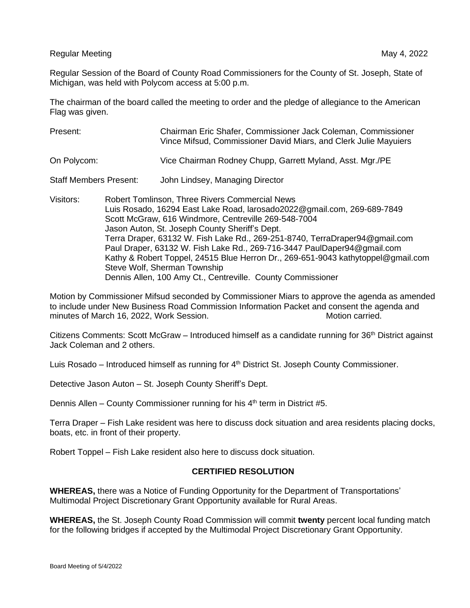Regular Meeting May 4, 2022 and the United States of the May 4, 2022 and the May 4, 2022

Regular Session of the Board of County Road Commissioners for the County of St. Joseph, State of Michigan, was held with Polycom access at 5:00 p.m.

The chairman of the board called the meeting to order and the pledge of allegiance to the American Flag was given.

| Present:                      |                                                                                                                                                                                                                                                                                                                                                                                                                                                                                                                                                                                         | Chairman Eric Shafer, Commissioner Jack Coleman, Commissioner<br>Vince Mifsud, Commissioner David Miars, and Clerk Julie Mayuiers |
|-------------------------------|-----------------------------------------------------------------------------------------------------------------------------------------------------------------------------------------------------------------------------------------------------------------------------------------------------------------------------------------------------------------------------------------------------------------------------------------------------------------------------------------------------------------------------------------------------------------------------------------|-----------------------------------------------------------------------------------------------------------------------------------|
| On Polycom:                   |                                                                                                                                                                                                                                                                                                                                                                                                                                                                                                                                                                                         | Vice Chairman Rodney Chupp, Garrett Myland, Asst. Mgr./PE                                                                         |
| <b>Staff Members Present:</b> |                                                                                                                                                                                                                                                                                                                                                                                                                                                                                                                                                                                         | John Lindsey, Managing Director                                                                                                   |
| Visitors:                     | <b>Robert Tomlinson, Three Rivers Commercial News</b><br>Luis Rosado, 16294 East Lake Road, larosado2022@gmail.com, 269-689-7849<br>Scott McGraw, 616 Windmore, Centreville 269-548-7004<br>Jason Auton, St. Joseph County Sheriff's Dept.<br>Terra Draper, 63132 W. Fish Lake Rd., 269-251-8740, TerraDraper94@gmail.com<br>Paul Draper, 63132 W. Fish Lake Rd., 269-716-3447 PaulDaper94@gmail.com<br>Kathy & Robert Toppel, 24515 Blue Herron Dr., 269-651-9043 kathytoppel@gmail.com<br>Steve Wolf, Sherman Township<br>Dennis Allen, 100 Amy Ct., Centreville. County Commissioner |                                                                                                                                   |

Motion by Commissioner Mifsud seconded by Commissioner Miars to approve the agenda as amended to include under New Business Road Commission Information Packet and consent the agenda and minutes of March 16, 2022, Work Session. The Motion carried. Motion carried.

Citizens Comments: Scott McGraw – Introduced himself as a candidate running for 36<sup>th</sup> District against Jack Coleman and 2 others.

Luis Rosado – Introduced himself as running for 4<sup>th</sup> District St. Joseph County Commissioner.

Detective Jason Auton – St. Joseph County Sheriff's Dept.

Dennis Allen – County Commissioner running for his  $4<sup>th</sup>$  term in District #5.

Terra Draper – Fish Lake resident was here to discuss dock situation and area residents placing docks, boats, etc. in front of their property.

Robert Toppel – Fish Lake resident also here to discuss dock situation.

## **CERTIFIED RESOLUTION**

**WHEREAS,** there was a Notice of Funding Opportunity for the Department of Transportations' Multimodal Project Discretionary Grant Opportunity available for Rural Areas.

**WHEREAS,** the St. Joseph County Road Commission will commit **twenty** percent local funding match for the following bridges if accepted by the Multimodal Project Discretionary Grant Opportunity.